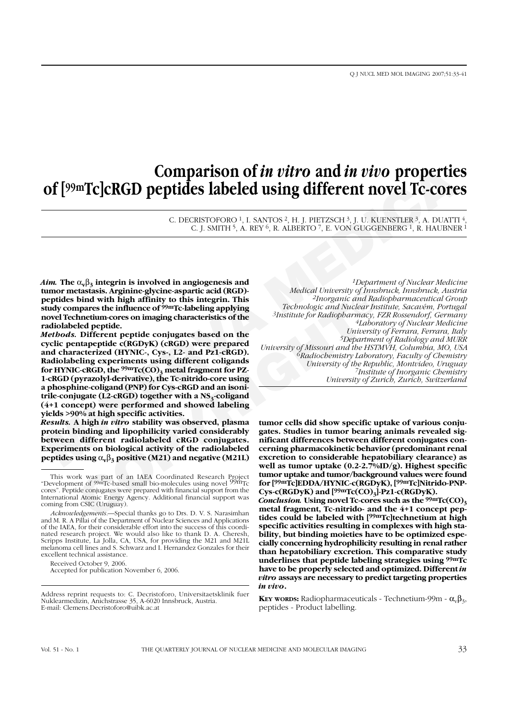# **Comparison of** *in vitro* **and** *in vivo* **properties of [99mTc]cRGD peptides labeled using different novel Tc-cores**

C. DECRISTOFORO <sup>1</sup>, I. SANTOS <sup>2</sup>, H. J. PIETZSCH <sup>3</sup>, J. U. KUENSTLER <sup>3</sup>, A. DUATTI <sup>4</sup> C. J. SMITH <sup>5</sup>, A. REY <sup>6</sup>, R. ALBERTO <sup>7</sup>, E. VON GUGGENBERG <sup>1</sup>, R. HAUBNER <sup>1</sup>

*Aim.* The  $\alpha_{\mathbf{v}}\beta_{\mathbf{z}}$  integrin is involved in angiogenesis and **tumor metastasis. Arginine-glycine-aspartic acid (RGD) peptides bind with high affinity to this integrin. This study compares the influence of 99mTc-labeling applying novel Technetium-cores on imaging characteristics of the radiolabeled peptide.**

Artaxistas. Arginine glytone asparite cald (RGD)<br>
had with high affinity to this integrin. This<br>
altonganic and Radio-<br>
Interest to minimigrom and Radio-<br>
Interest on imaging characteristics of the<br>
Interesting applying<br> *Methods.* **Different peptide conjugates based on the cyclic pentapeptide c(RGDyK) (cRGD) were prepared and characterized (HYNIC-, Cys-, L2- and Pz1-cRGD). Radiolabeling experiments using different coligands** for HYNIC-cRGD, the <sup>99m</sup>Tc(CO)<sub>3</sub> metal fragment for PZ-**1-cRGD (pyrazolyl-derivative), the Tc-nitrido-core using a phosphine-coligand (PNP) for Cys-cRGD and an isoni**trile-conjugate (L2-cRGD) together with a NS<sub>3</sub>-coligand **(4+1 concept) were performed and showed labeling yields >90% at high specific activities.**

*Results.* **A high** *in vitro* **stability was observed, plasma protein binding and lipophilicity varied considerably between different radiolabeled cRGD conjugates. Experiments on biological activity of the radiolabeled peptides using**  $\alpha_v \beta_3$  **positive (M21) and negative (M21L)** 

Accepted for publication November 6, 2006.

**Comparison of** *in vitro* **and** *in vivo* **properties<br>
of [99mTc]cRGD peptides labeled using different novel Tc-core<br>**  $\epsilon$ **-DERGED peptides labeled using different novel Tc-core<br>**  $\epsilon$ **-DERGED peptides labeled using**  $\frac{M}{N}$ **,** *1Department of Nuclear Medicine Medical University of Innsbruck, Innsbruck, Austria 2Inorganic and Radiopharmaceutical Group Technologic and Nuclear Institute, Sacavém, Portugal 3Institute for Radiopharmacy, FZR Rossendorf, Germany 4Laboratory of Nuclear Medicine University of Ferrara, Ferrara, Italy 5Department of Radiology and MURR University of Missouri and the HSTMVH, Columbia, MO, USA 6Radiochemistry Laboratory, Faculty of Chemistry University of the Republic, Montvideo, Uruguay 7Institute of Inorganic Chemistry University of Zurich, Zurich, Switzerland*

**tumor cells did show specific uptake of various conjugates. Studies in tumor bearing animals revealed significant differences between different conjugates concerning pharmacokinetic behavior (predominant renal excretion to considerable hepatobiliary clearance) as well as tumor uptake (0.2-2.7%ID/g). Highest specific tumor uptake and tumor/background values were found for [99mTc]EDDA/HYNIC-c(RGDyK), [99mTc]Nitrido-PNP-**Cys-c(RGDyK) and [<sup>99mT</sup>c(CO)<sub>3</sub>]-Pz1-c(RGDyK).

*Conclusion.* Using novel Tc-cores such as the  $99mTc(CO)$ <sub>3</sub> **metal fragment, Tc-nitrido- and the 4+1 concept peptides could be labeled with [99mTc]technetium at high specific activities resulting in complexes with high stability, but binding moieties have to be optimized especially concerning hydrophilicity resulting in renal rather than hepatobiliary excretion. This comparative study underlines that peptide labeling strategies using 99mTc have to be properly selected and optimized. Different** *in vitro* **assays are necessary to predict targeting properties** *in vivo***.**

**KEY WORDS:** Radiopharmaceuticals - Technetium-99m -  $\alpha_{v}\beta_{3}$ , peptides - Product labelling.

This work was part of an IAEA Coordinated Research Project<br>"Development of <sup>99m</sup>Tc-based small bio-molecules using novel <sup>99m</sup>Tc cores". Peptide conjugates were prepared with financial support from the International Atomic Energy Agency. Additional financial support was coming from CSIC (Uruguay).

*Acknowledgements.*—Special thanks go to Drs. D. V. S. Narasimhan and M. R. A Pillai of the Department of Nuclear Sciences and Applications of the IAEA, for their considerable effort into the success of this coordinated research project. We would also like to thank D. A. Cheresh, Scripps Institute, La Jolla, CA, USA, for providing the M21 and M21L melanoma cell lines and S. Schwarz and I. Hernandez Gonzales for their excellent technical assistance.

Received October 9, 2006.

Address reprint requests to: C. Decristoforo, Universitaetsklinik fuer Nuklearmedizin, Anichstrasse 35, A-6020 Innsbruck, Austria. E-mail: Clemens.Decristoforo@uibk.ac.at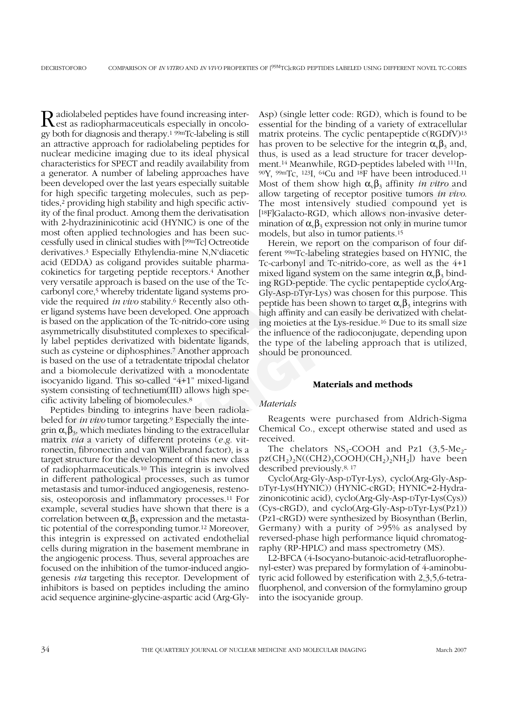Entranctes for SPEC1 and reading warishbut promote.<sup>1</sup> Meanwhar the note that compared a between developed over the last year sepecially suitable Mass of the chemical particle operator of high approaches have  $\mathcal{W}_2$ <sup>th</sup> core,<sup>5</sup> whereby tridentate ligand systems pro-<br>
Giv-Asp-DTyr-Lys) was chosen<br>
required *in thro* stability.<sup>6</sup> Recently also oth-<br>
peptide has been shown to tar<br>
systems have been developed. One approach high affinity and Radiolabeled peptides have found increasing inter-est as radiopharmaceuticals especially in oncology both for diagnosis and therapy.1 99mTc-labeling is still an attractive approach for radiolabeling peptides for nuclear medicine imaging due to its ideal physical characteristics for SPECT and readily availability from a generator. A number of labeling approaches have been developed over the last years especially suitable for high specific targeting molecules, such as peptides,2 providing high stability and high specific activity of the final product. Among them the derivatisation with 2-hydrazininicotinic acid (HYNIC) is one of the most often applied technologies and has been successfully used in clinical studies with [99mTc] Octreotide derivatives.3 Especially Ethylendia-mine N,N'diacetic acid (EDDA) as coligand provides suitable pharmacokinetics for targeting peptide receptors.4 Another very versatile approach is based on the use of the Tccarbonyl core,5 whereby tridentate ligand systems provide the required *in vivo* stability.6 Recently also other ligand systems have been developed. One approach is based on the application of the Tc-nitrido-core using asymmetrically disubstituted complexes to specifically label peptides derivatized with bidentate ligands, such as cysteine or diphosphines.7 Another approach is based on the use of a tetradentate tripodal chelator and a biomolecule derivatized with a monodentate isocyanido ligand. This so-called "4+1" mixed-ligand system consisting of technetium(III) allows high specific activity labeling of biomolecules.8

Peptides binding to integrins have been radiolabeled for *in vivo* tumor targeting.9 Especially the integrin  $\alpha_{\nu} \beta_3$ , which mediates binding to the extracellular matrix *via* a variety of different proteins (*e.g*. vitronectin, fibronectin and van Willebrand factor), is a target structure for the development of this new class of radiopharmaceuticals.10 This integrin is involved in different pathological processes, such as tumor metastasis and tumor-induced angiogenesis, restenosis, osteoporosis and inflammatory processes.11 For example, several studies have shown that there is a correlation between  $\alpha_{\nu} \beta_3$  expression and the metastatic potential of the corresponding tumor.12 Moreover, this integrin is expressed on activated endothelial cells during migration in the basement membrane in the angiogenic process. Thus, several approaches are focused on the inhibition of the tumor-induced angiogenesis *via* targeting this receptor. Development of inhibitors is based on peptides including the amino acid sequence arginine-glycine-aspartic acid (Arg-GlyAsp) (single letter code: RGD), which is found to be essential for the binding of a variety of extracellular matrix proteins. The cyclic pentapeptide c(RGDfV)13 has proven to be selective for the integrin  $\alpha_{\nu}\beta_3$  and, thus, is used as a lead structure for tracer development.14 Meanwhile, RGD-peptides labeled with 111In, 90Y, 99mTc, 123I, 64Cu and 18F have been introduced.11 Most of them show high  $\alpha_{v} \beta_{3}$  affinity *in vitro* and allow targeting of receptor positive tumors *in vivo*. The most intensively studied compound yet is [18F]Galacto-RGD, which allows non-invasive determination of  $\alpha_{\nu}\beta_3$  expression not only in murine tumor models, but also in tumor patients.15

Herein, we report on the comparison of four different 99mTc-labeling strategies based on HYNIC, the Tc-carbonyl and Tc-nitrido-core, as well as the 4+1 mixed ligand system on the same integrin  $\alpha_{\nu}\beta_3$  binding RGD-peptide. The cyclic pentapeptide cyclo(Arg-Gly-Asp-DTyr-Lys) was chosen for this purpose. This peptide has been shown to target  $\alpha_{\nu}\beta_3$  integrins with high affinity and can easily be derivatized with chelating moieties at the Lys-residue.16 Due to its small size the influence of the radioconjugate, depending upon the type of the labeling approach that is utilized, should be pronounced.

#### **Materials and methods**

#### *Materials*

Reagents were purchased from Aldrich-Sigma Chemical Co., except otherwise stated and used as received.

The chelators  $NS_3$ -COOH and Pz1 (3,5-Me<sub>2</sub> $pz(CH_2)_2N((CH2)_3COOH)(CH_2)_2NH_2]$  have been described previously.8, 17

Cyclo(Arg-Gly-Asp-DTyr-Lys), cyclo(Arg-Gly-Asp-DTyr-Lys(HYNIC)) (HYNIC-cRGD; HYNIC=2-Hydrazinonicotinic acid), cyclo(Arg-Gly-Asp-DTyr-Lys(Cys)) (Cys-cRGD), and cyclo(Arg-Gly-Asp-DTyr-Lys(Pz1)) (Pz1-cRGD) were synthesized by Biosynthan (Berlin, Germany) with a purity of >95% as analysed by reversed-phase high performance liquid chromatography (RP-HPLC) and mass spectrometry (MS).

L2-BFCA (4-Isocyano-butanoic-acid-tetrafluorophenyl-ester) was prepared by formylation of 4-aminobutyric acid followed by esterification with 2,3,5,6-tetrafluorphenol, and conversion of the formylamino group into the isocyanide group.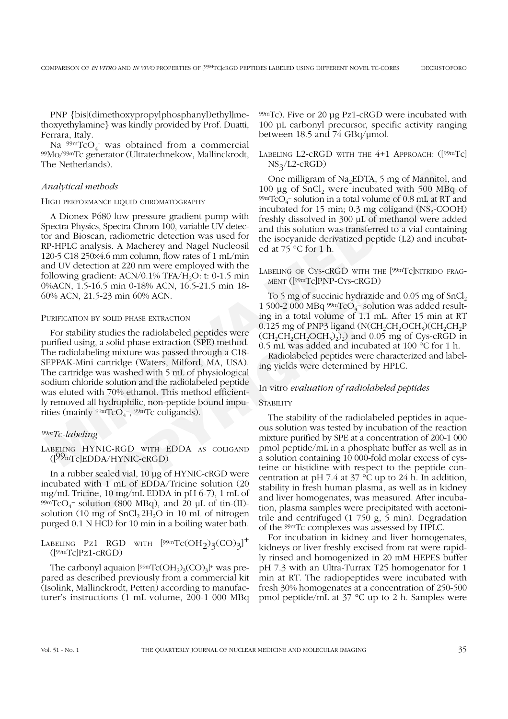PNP {bis[(dimethoxypropylphosphanyl)ethyl]methoxyethylamine} was kindly provided by Prof. Duatti, Ferrara, Italy.

Na  $\frac{99m}{\text{TeO}_4}$  was obtained from a commercial 99Mo/99mTc generator (Ultratechnekow, Mallinckrodt, The Netherlands).

## *Analytical methods*

#### HIGH PERFORMANCE LIQUID CHROMATOGRAPHY

A Dionex P680 low pressure gradient pump with Spectra Physics, Spectra Chrom 100, variable UV detector and Bioscan, radiometric detection was used for RP-HPLC analysis. A Macherey and Nagel Nucleosil 120-5 C18 250×4.6 mm column, flow rates of 1 mL/min and UV detection at 220 nm were employed with the following gradient:  $ACN/0.1\%$  TFA/H<sub>2</sub>O: t: 0-1.5 min 0%ACN, 1.5-16.5 min 0-18% ACN, 16.5-21.5 min 18- 60% ACN, 21.5-23 min 60% ACN.

#### PURIFICATION BY SOLID PHASE EXTRACTION

The Netherlands).<br>
May L2-cKGD<br>
May Chere incubated methods<br>
100 pg of SnCl<sub>x</sub> verte incubated with 500 MBq<br>
100 pg of SnCl<sub>x</sub> verte incubated with 500 MBq<br>
100 pg of SnCl<sub>x</sub> verte incubated with 500 MBq<br>
100 pg of SnCl<sub>x</sub> **COPY THE TO A SUBMALIST CONTEXT**<br> **COPY** ACTIVE TO 5 mg of succinic hydrazid<br>
1500-2 000 MBq <sup>99</sup><sup>m</sup>TcO<sub>4</sub><sup>-</sup> solu<br>
bility studies the radiolabeled peptides were of 1.1 m<br>
bility studies the radiolabeled peptides were (CH For stability studies the radiolabeled peptides were purified using, a solid phase extraction (SPE) method. The radiolabeling mixture was passed through a C18- SEPPAK-Mini cartridge (Waters, Milford, MA, USA). The cartridge was washed with 5 mL of physiological sodium chloride solution and the radiolabeled peptide was eluted with 70% ethanol. This method efficiently removed all hydrophilic, non-peptide bound impurities (mainly  $\frac{99 \text{m}}{\text{TCO}_4}$ ,  $\frac{99 \text{m}}{\text{TC}}$  coligands).

## *99mTc-labeling*

# LABELING HYNIC-RGD WITH EDDA AS COLIGAND  $(I^{99}$ <sup>m</sup>Tc]EDDA/HYNIC-cRGD)

In a rubber sealed vial, 10 µg of HYNIC-cRGD were incubated with 1 mL of EDDA/Tricine solution (20 mg/mL Tricine, 10 mg/mL EDDA in pH 6-7), 1 mL of 99mTcO4 <sup>−</sup> solution (800 MBq), and 20 µL of tin-(II) solution (10 mg of  $SnCl<sub>2</sub>2H<sub>2</sub>O$  in 10 mL of nitrogen purged 0.1 N HCl) for 10 min in a boiling water bath.

LABELING PZ1 RGD WITH  $[99mTc(OH<sub>2</sub>)<sub>3</sub>(CO)<sub>3</sub>]$ <sup>+</sup>  $([99mTc]Pz1-cRGD)$ 

The carbonyl aquaion  $[99mTc(OH<sub>2</sub>)<sub>3</sub>(CO)<sub>3</sub>]$ <sup>+</sup> was prepared as described previously from a commercial kit (Isolink, Mallinckrodt, Petten) according to manufacturer's instructions (1 mL volume, 200-1 000 MBq 99mTc). Five or 20 µg Pz1-cRGD were incubated with 100 µL carbonyl precursor, specific activity ranging between 18.5 and 74 GBq/µmol.

LABELING L2-CRGD WITH THE 4+1 APPROACH: ([99mTc]  $NS<sub>2</sub>/L2-cRGD)$ 

One milligram of Na<sub>2</sub>EDTA, 5 mg of Mannitol, and 100  $\mu$ g of SnCl<sub>2</sub> were incubated with 500 MBq of  $^{99m}$ TcO<sub>4</sub> solution in a total volume of 0.8 mL at RT and incubated for 15 min;  $0.3$  mg coligand (NS<sub>3</sub>-COOH) freshly dissolved in 300 µL of methanol were added and this solution was transferred to a vial containing the isocyanide derivatized peptide (L2) and incubated at 75 °C for 1 h.

LABELING OF CYS-CRGD WITH THE [99mTc]NITRIDO FRAG-MENT ([99mTc]PNP-CYS-CRGD)

To 5 mg of succinic hydrazide and  $0.05$  mg of SnCl, 1 500-2 000 MBq  $\frac{99 \text{m}}{\text{C}}\text{O}_{4}$ -solution was added resulting in a total volume of 1.1 mL. After 15 min at RT 0.125 mg of PNP3 ligand (N(CH<sub>2</sub>CH<sub>2</sub>OCH<sub>3</sub>)(CH<sub>2</sub>CH<sub>2</sub>P  $(CH_2CH_2CH_2OCH_3)_{2})$  and 0.05 mg of Cys-cRGD in 0.5 mL was added and incubated at 100 °C for 1 h.

Radiolabeled peptides were characterized and labeling yields were determined by HPLC.

# In vitro *evaluation of radiolabeled peptides*

#### **STABILITY**

The stability of the radiolabeled peptides in aqueous solution was tested by incubation of the reaction mixture purified by SPE at a concentration of 200-1 000 pmol peptide/mL in a phosphate buffer as well as in a solution containing 10 000-fold molar excess of cysteine or histidine with respect to the peptide concentration at pH 7.4 at 37 °C up to 24 h. In addition, stability in fresh human plasma, as well as in kidney and liver homogenates, was measured. After incubation, plasma samples were precipitated with acetonitrile and centrifuged (1 750 g, 5 min). Degradation of the 99mTc complexes was assessed by HPLC.

For incubation in kidney and liver homogenates, kidneys or liver freshly excised from rat were rapidly rinsed and homogenized in 20 mM HEPES buffer pH 7.3 with an Ultra-Turrax T25 homogenator for 1 min at RT. The radiopeptides were incubated with fresh 30% homogenates at a concentration of 250-500 pmol peptide/mL at 37 °C up to 2 h. Samples were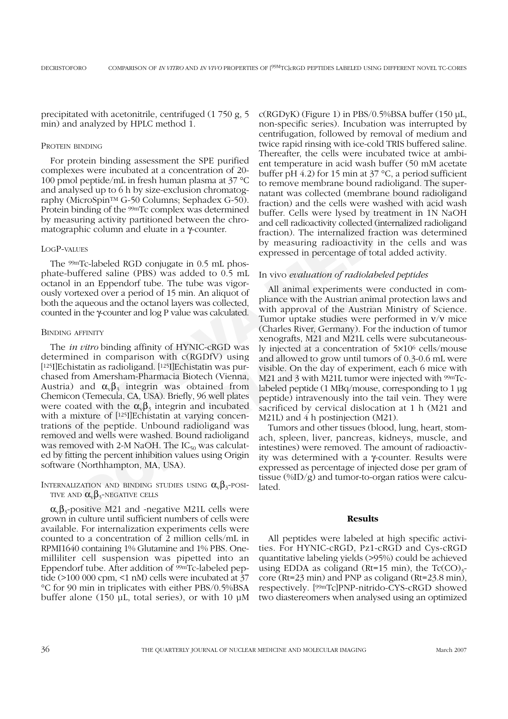precipitated with acetonitrile, centrifuged (1 750 g, 5 min) and analyzed by HPLC method 1.

## PROTEIN BINDING

For protein binding assessment the SPE purified complexes were incubated at a concentration of 20- 100 pmol peptide/mL in fresh human plasma at 37 °C and analysed up to 6 h by size-exclusion chromatography (MicroSpinTM G-50 Columns; Sephadex G-50). Protein binding of the 99mTc complex was determined by measuring activity partitioned between the chromatographic column and eluate in a γ-counter.

# LOGP-VALUES

The 99mTc-labeled RGD conjugate in 0.5 mL phosphate-buffered saline (PBS) was added to 0.5 mL octanol in an Eppendorf tube. The tube was vigorously vortexed over a period of 15 min. An aliquot of both the aqueous and the octanol layers was collected, counted in the γ-counter and log P value was calculated.

## BINDING AFFINITY

texed over a period of 15 min. An aliquot of<br>
aliamce with easymments we<br>
aqueous and the octanol layers was collected,<br>
pliance with approval of the Austrian anim<br>
aqueous and the octanol layers was calculated.<br>
Tunno ru The *in vitro* binding affinity of HYNIC-cRGD was determined in comparison with c(RGDfV) using [125I]Echistatin as radioligand. [125I]Echistatin was purchased from Amersham-Pharmacia Biotech (Vienna, Austria) and  $\alpha_{\nu}\beta_3$  integrin was obtained from Chemicon (Temecula, CA, USA). Briefly, 96 well plates were coated with the  $\alpha_{\nu}\beta_3$  integrin and incubated with a mixture of [125] Echistatin at varying concentrations of the peptide. Unbound radioligand was removed and wells were washed. Bound radioligand was removed with 2-M NaOH. The  $IC_{50}$  was calculated by fitting the percent inhibition values using Origin software (Northhampton, MA, USA).

# INTERNALIZATION AND BINDING STUDIES USING  $\alpha_{v}\beta_{3}$ -POSI-TIVE AND  $\alpha_{v}\beta_{3}$ -NEGATIVE CELLS

 $\alpha_{\nu} \beta_{3}$ -positive M21 and -negative M21L cells were grown in culture until sufficient numbers of cells were available. For internalization experiments cells were counted to a concentration of 2 million cells/mL in RPMI1640 containing 1% Glutamine and 1% PBS. Onemilliliter cell suspension was pipetted into an Eppendorf tube. After addition of  $99mTc$ -labeled peptide (>100 000 cpm, <1 nM) cells were incubated at 37 °C for 90 min in triplicates with either PBS/0.5%BSA buffer alone (150 µL, total series), or with 10 µM  $c(RGDyK)$  (Figure 1) in PBS/0.5%BSA buffer (150 µL, non-specific series). Incubation was interrupted by centrifugation, followed by removal of medium and twice rapid rinsing with ice-cold TRIS buffered saline. Thereafter, the cells were incubated twice at ambient temperature in acid wash buffer (50 mM acetate buffer pH 4.2) for 15 min at 37  $\degree$ C, a period sufficient to remove membrane bound radioligand. The supernatant was collected (membrane bound radioligand fraction) and the cells were washed with acid wash buffer. Cells were lysed by treatment in 1N NaOH and cell radioactivity collected (internalized radioligand fraction). The internalized fraction was determined by measuring radioactivity in the cells and was expressed in percentage of total added activity.

## In vivo *evaluation of radiolabeled peptides*

To protect when a contentral of 20 minimal particle of the state with lines the complexes were inculated at a concentration of 20 milfer pH 4.2) for 15 min a 37 °C, a period sufficies<br>of the minimal particle of the superpo All animal experiments were conducted in compliance with the Austrian animal protection laws and with approval of the Austrian Ministry of Science. Tumor uptake studies were performed in  $v/v$  mice (Charles River, Germany). For the induction of tumor xenografts, M21 and M21L cells were subcutaneously injected at a concentration of 5×106 cells/mouse and allowed to grow until tumors of 0.3-0.6 mL were visible. On the day of experiment, each 6 mice with M21 and 3 with M21L tumor were injected with <sup>99m</sup>Tclabeled peptide (1 MBq/mouse, corresponding to 1 µg peptide) intravenously into the tail vein. They were sacrificed by cervical dislocation at 1 h (M21 and M21L) and 4 h postinjection (M21).

Tumors and other tissues (blood, lung, heart, stomach, spleen, liver, pancreas, kidneys, muscle, and intestines) were removed. The amount of radioactivity was determined with a γ-counter. Results were expressed as percentage of injected dose per gram of tissue (%ID/g) and tumor-to-organ ratios were calculated.

#### **Results**

All peptides were labeled at high specific activities. For HYNIC-cRGD, Pz1-cRGD and Cys-cRGD quantitative labeling yields (>95%) could be achieved using EDDA as coligand (Rt=15 min), the  $Tc(CO)<sub>3</sub>$ core (Rt=23 min) and PNP as coligand (Rt=23.8 min), respectively. [99mTc]PNP-nitrido-CYS-cRGD showed two diastereomers when analysed using an optimized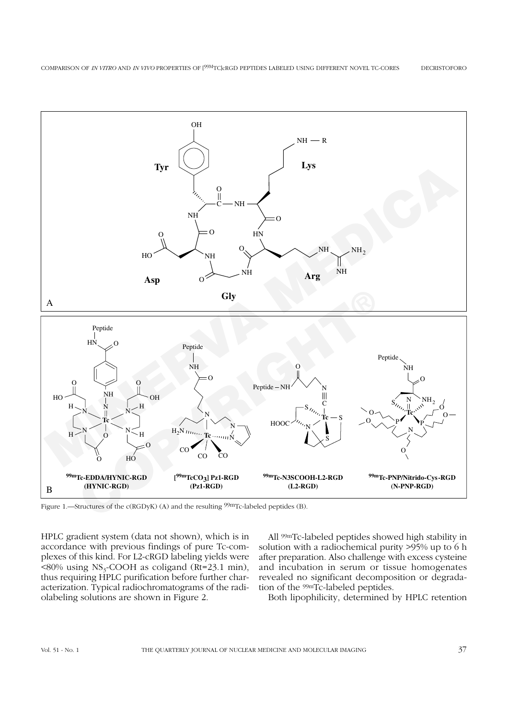

Figure 1.—Structures of the c(RGDyK) (A) and the resulting <sup>99m</sup>Tc-labeled peptides (B).

HPLC gradient system (data not shown), which is in accordance with previous findings of pure Tc-complexes of this kind. For L2-cRGD labeling yields were  $\leq 80\%$  using NS<sub>3</sub>-COOH as coligand (Rt=23.1 min), thus requiring HPLC purification before further characterization. Typical radiochromatograms of the radiolabeling solutions are shown in Figure 2.

All 99mTc-labeled peptides showed high stability in solution with a radiochemical purity >95% up to 6 h after preparation. Also challenge with excess cysteine and incubation in serum or tissue homogenates revealed no significant decomposition or degradation of the 99mTc-labeled peptides.

Both lipophilicity, determined by HPLC retention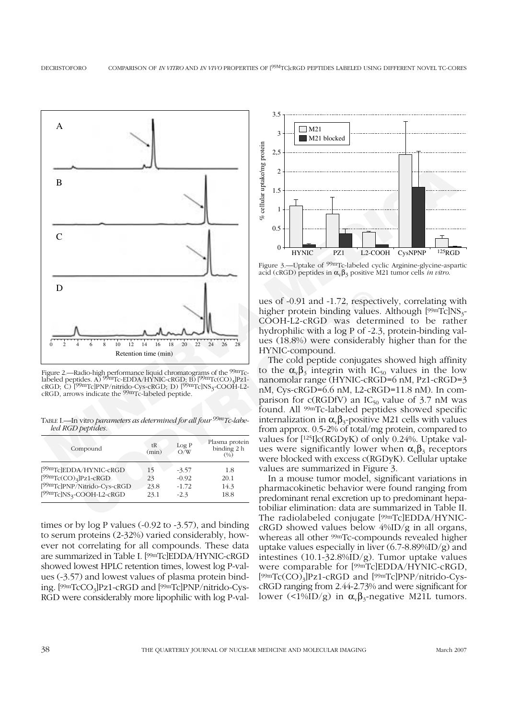

Figure 2.—Radio-high performance liquid chromatograms of the <sup>99m</sup>Tclabeled peptides. A)  $^{99}$ mTc-EDDA/HYNIC-cRGD; B)  $^{[99}$ mTc(CO)<sub>3</sub>]Pz1cRGD; C) <sup>[99m</sup>Tc]PNP/nitrido-Cys-cRGD; D) [<sup>99m</sup>Tc]NS<sub>3</sub>-COOH-L2-<br>cRGD, arrows indicate the <sup>99m</sup>Tc-labeled peptide.

TABLE I.—In vitro *parameters as determined for all four 99mTc-labeled RGD peptides.*

| Compound                                 | tR<br>(min) | Log P<br>O/N | Plasma protein<br>binding 2 h<br>(0/0) |
|------------------------------------------|-------------|--------------|----------------------------------------|
| [ <sup>99m</sup> Tc]EDDA/HYNIC-cRGD      | 15          | $-3.57$      | 1.8                                    |
| $[99mTc(CO)3]Pz1-cRGD$                   | 23          | $-0.92$      | 20.1                                   |
| [ <sup>99m</sup> Tc]PNP/Nitrido-Cys-cRGD | 23.8        | $-1.72$      | 14.3                                   |
| $[99mTc]NS3-COOH-L2-cRGD$                | 23.1        | $-2.3$       | 18.8                                   |

times or by log P values (-0.92 to -3.57), and binding to serum proteins (2-32%) varied considerably, however not correlating for all compounds. These data are summarized in Table I. [99mTc]EDDA/HYNIC-cRGD showed lowest HPLC retention times, lowest log P-values (-3.57) and lowest values of plasma protein binding. [99mTcCO3]Pz1-cRGD and [99mTc]PNP/nitrido-Cys-RGD were considerably more lipophilic with log P-val-



Figure 3.—Uptake of 99mTc-labeled cyclic Arginine-glycine-aspartic acid (cRGD) peptides in  $\alpha_v \beta_3$  positive M21 tumor cells *in vitro*.

ues of -0.91 and -1.72, respectively, correlating with higher protein binding values. Although  $[99mTc]NS_{3}$ -COOH-L2-cRGD was determined to be rather hydrophilic with a log P of -2.3, protein-binding values (18.8%) were considerably higher than for the HYNIC-compound.

The cold peptide conjugates showed high affinity to the  $\alpha_v \beta_3$  integrin with IC<sub>50</sub> values in the low nanomolar range (HYNIC-cRGD=6 nM, Pz1-cRGD=3 nM, Cys-cRGD=6.6 nM, L2-cRGD=11.8 nM). In comparison for c(RGDfV) an  $IC_{50}$  value of 3.7 nM was found. All 99mTc-labeled peptides showed specific internalization in  $\alpha_{\nu} \beta_3$ -positive M21 cells with values from approx. 0.5-2% of total/mg protein, compared to values for [125I]c(RGDyK) of only 0.24%. Uptake values were significantly lower when  $\alpha_{\nu}\beta_3$  receptors were blocked with excess c(RGDyK). Cellular uptake values are summarized in Figure 3.

In a mouse tumor model, significant variations in pharmacokinetic behavior were found ranging from predominant renal excretion up to predominant hepatobiliar elimination: data are summarized in Table II. The radiolabeled conjugate [99mTc]EDDA/HYNICcRGD showed values below 4%ID/g in all organs, whereas all other 99mTc-compounds revealed higher uptake values especially in liver  $(6.7-8.89\sqrt[6]{\mathrm{ID/g}})$  and intestines  $(10.1-32.8\%$ ID/g). Tumor uptake values were comparable for [99mTc]EDDA/HYNIC-cRGD, [99mTc(CO)3]Pz1-cRGD and [99mTc]PNP/nitrido-CyscRGD ranging from 2.44-2.73% and were significant for lower (<1%ID/g) in  $\alpha_{\nu} \beta_3$ -negative M21L tumors.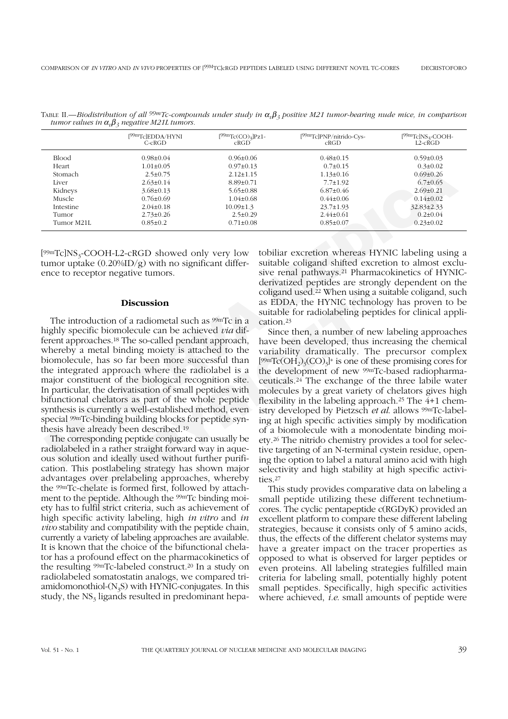|            | [ <sup>99m</sup> TclEDDA/HYNI<br>$C$ -c $RGD$ | $[99mTc(CO)3]Pz1-$<br>CRGD | [ <sup>99m</sup> Tc]PNP/nitrido-Cys-<br>CRGD | $[99mTc]NS3-COOH-$<br>L2-cŘGD |
|------------|-----------------------------------------------|----------------------------|----------------------------------------------|-------------------------------|
| Blood      | $0.98 \pm 0.04$                               | $0.96 \pm 0.06$            | $0.48 \pm 0.15$                              | $0.59 \pm 0.03$               |
| Heart      | $1.01 \pm 0.05$                               | $0.97 \pm 0.13$            | $0.7 \pm 0.15$                               | $0.3 \pm 0.02$                |
| Stomach    | $2.5 \pm 0.75$                                | $2.12 \pm 1.15$            | $1.13 \pm 0.16$                              | $0.69 \pm 0.26$               |
| Liver      | $2.63 \pm 0.14$                               | $8.89 \pm 0.71$            | $7.7 \pm 1.92$                               | $6.7 \pm 0.65$                |
| Kidneys    | $3.68 \pm 0.13$                               | $5.65 \pm 0.88$            | $6.87 \pm 0.46$                              | $2.69 \pm 0.21$               |
| Muscle     | $0.76 \pm 0.69$                               | $1.04 \pm 0.68$            | $0.44 \pm 0.06$                              | $0.14 \pm 0.02$               |
| Intestine  | $2.04 \pm 0.18$                               | $10.09 \pm 1.3$            | $23.7 \pm 1.93$                              | 32.83±2.33                    |
| Tumor      | $2.73 \pm 0.26$                               | $2.5 \pm 0.29$             | $2.44 \pm 0.61$                              | $0.2 \pm 0.04$                |
| Tumor M21L | $0.85 \pm 0.2$                                | $0.71 \pm 0.08$            | $0.85 \pm 0.07$                              | $0.23 \pm 0.02$               |

TABLE II.—*Biodistribution of all 99mTc-compounds under study in* <sup>α</sup>*v*β*<sup>3</sup> positive M21 tumor-bearing nude mice, in comparison tumor values in*  $\alpha_{\nu}\beta_3$  *negative M21L tumors.* 

 $[99mTc]NS<sub>3</sub>-COOH-L2-cRGD$  showed only very low tumor uptake  $(0.20\%$ ID/g) with no significant difference to receptor negative tumors.

## **Discussion**

**Coligand used.<sup>22</sup> When using a<br>
suitable for state DDM, the HYNIC technol.<br>
<b>COPY** saint particle in a suitable for radiolabeling pept<br>
beceific biomolecule can be achieved *vta* dif-<br>
proaches.<sup>18</sup> The so-called pendant The introduction of a radiometal such as 99mTc in a highly specific biomolecule can be achieved *via* different approaches.18 The so-called pendant approach, whereby a metal binding moiety is attached to the biomolecule, has so far been more successful than the integrated approach where the radiolabel is a major constituent of the biological recognition site. In particular, the derivatisation of small peptides with bifunctional chelators as part of the whole peptide synthesis is currently a well-established method, even special 99mTc-binding building blocks for peptide synthesis have already been described.19

The corresponding peptide conjugate can usually be radiolabeled in a rather straight forward way in aqueous solution and ideally used without further purification. This postlabeling strategy has shown major advantages over prelabeling approaches, whereby the 99mTc-chelate is formed first, followed by attachment to the peptide. Although the 99mTc binding moiety has to fulfil strict criteria, such as achievement of high specific activity labeling, high *in vitro* and *in vivo* stability and compatibility with the peptide chain, currently a variety of labeling approaches are available. It is known that the choice of the bifunctional chelator has a profound effect on the pharmacokinetics of the resulting 99mTc-labeled construct.20 In a study on radiolabeled somatostatin analogs, we compared triamidomonothiol- $(N<sub>3</sub>S)$  with HYNIC-conjugates. In this study, the  $NS<sub>3</sub>$  ligands resulted in predominant hepatobiliar excretion whereas HYNIC labeling using a suitable coligand shifted excretion to almost exclusive renal pathways.21 Pharmacokinetics of HYNICderivatized peptides are strongly dependent on the coligand used.22 When using a suitable coligand, such as EDDA, the HYNIC technology has proven to be suitable for radiolabeling peptides for clinical application.23

Heata<br>
Means 10.146.18 0.792.0.13 0.724.115 0.74116 0.792.02<br>
Isomach 2.540.75 2.124.115 0.741216 0.9960.26<br>
Isometh<br>
Manes 2.660.71 1146.16 0.9960.26<br>
Manes 2.660.81 8.960.20<br>
Manes 2.660.81 8.960.81 2.224.115 0.9960.26<br> Since then, a number of new labeling approaches have been developed, thus increasing the chemical variability dramatically. The precursor complex  $[99mTc(OH<sub>2</sub>)<sub>3</sub>(CO)<sub>3</sub>]$ <sup>+</sup> is one of these promising cores for the development of new 99mTc-based radiopharmaceuticals.24 The exchange of the three labile water molecules by a great variety of chelators gives high flexibility in the labeling approach.25 The 4+1 chemistry developed by Pietzsch *et al*. allows 99mTc-labeling at high specific activities simply by modification of a biomolecule with a monodentate binding moiety.26 The nitrido chemistry provides a tool for selective targeting of an N-terminal cystein residue, opening the option to label a natural amino acid with high selectivity and high stability at high specific activities.27

> This study provides comparative data on labeling a small peptide utilizing these different technetiumcores. The cyclic pentapeptide c(RGDyK) provided an excellent platform to compare these different labeling strategies, because it consists only of 5 amino acids, thus, the effects of the different chelator systems may have a greater impact on the tracer properties as opposed to what is observed for larger peptides or even proteins. All labeling strategies fulfilled main criteria for labeling small, potentially highly potent small peptides. Specifically, high specific activities where achieved, *i.e*. small amounts of peptide were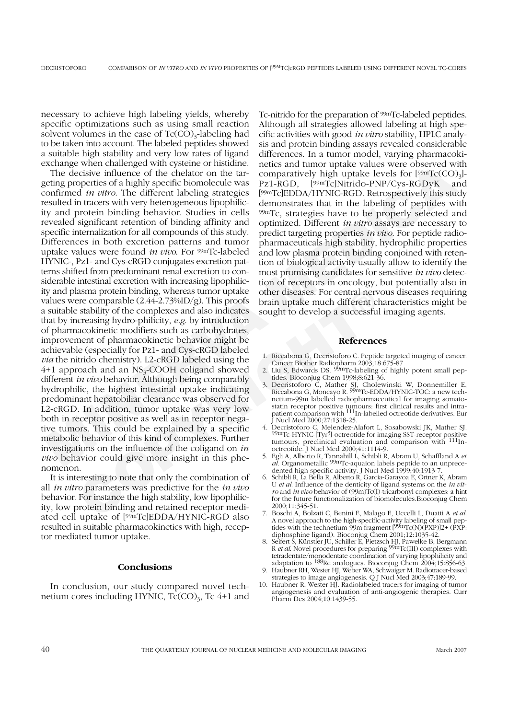necessary to achieve high labeling yields, whereby specific optimizations such as using small reaction solvent volumes in the case of  $Tc(CO)_{3}$ -labeling had to be taken into account. The labeled peptides showed a suitable high stability and very low rates of ligand exchange when challenged with cysteine or histidine.

Example when callenged Wilh specific increase and the constant when the value was probable and the constant of the distribution of the diffusive probable and the mean of the diffusive properties of a highly specific biomo asma protein binding, whereas tumor uptake<br>
corber diseases. For central nerve<br>
comparable (2.44-2.7%%D/g) This proofs<br>
brain uptake much different cl<br>
creasing hydro-philicity, e.g. by introduction<br>
cordinates<br>
ment of ph The decisive influence of the chelator on the targeting properties of a highly specific biomolecule was confirmed *in vitro*. The different labeling strategies resulted in tracers with very heterogeneous lipophilicity and protein binding behavior. Studies in cells revealed significant retention of binding affinity and specific internalization for all compounds of this study. Differences in both excretion patterns and tumor uptake values were found *in vivo*. For 99mTc-labeled HYNIC-, Pz1- and Cys-cRGD conjugates excretion patterns shifted from predominant renal excretion to considerable intestinal excretion with increasing lipophilicity and plasma protein binding, whereas tumor uptake values were comparable  $(2.44-2.73\sqrt{d})$ . This proofs a suitable stability of the complexes and also indicates that by increasing hydro-philicity, *e.g*. by introduction of pharmacokinetic modifiers such as carbohydrates, improvement of pharmacokinetic behavior might be achievable (especially for Pz1- and Cys-cRGD labeled *via* the nitrido chemistry). L2-cRGD labeled using the  $4+1$  approach and an NS<sub>3</sub>-COOH coligand showed different *in vivo* behavior. Although being comparably hydrophilic, the highest intestinal uptake indicating predominant hepatobiliar clearance was observed for L2-cRGD. In addition, tumor uptake was very low both in receptor positive as well as in receptor negative tumors. This could be explained by a specific metabolic behavior of this kind of complexes. Further investigations on the influence of the coligand on *in vivo* behavior could give more insight in this phenomenon.

It is interesting to note that only the combination of all *in vitro* parameters was predictive for the *in vivo* behavior. For instance the high stability, low lipophilicity, low protein binding and retained receptor mediated cell uptake of [99mTc]EDDA/HYNIC-RGD also resulted in suitable pharmacokinetics with high, receptor mediated tumor uptake.

# **Conclusions**

In conclusion, our study compared novel technetium cores including HYNIC,  $Tc(CO)_{3}$ , Tc 4+1 and Tc-nitrido for the preparation of 99mTc-labeled peptides. Although all strategies allowed labeling at high specific activities with good *in vitro* stability, HPLC analysis and protein binding assays revealed considerable differences. In a tumor model, varying pharmacokinetics and tumor uptake values were observed with comparatively high uptake levels for [99mTc(CO)<sub>3</sub>]-<br>Pz1-RGD. [99mTclNitrido-PNP/Cvs-RGDvK and  $[99mTc]$ Nitrido-PNP/Cys-RGDyK and [99mTc]EDDA/HYNIC-RGD. Retrospectively this study demonstrates that in the labeling of peptides with 99mTc, strategies have to be properly selected and optimized. Different *in vitro* assays are necessary to predict targeting properties *in vivo*. For peptide radiopharmaceuticals high stability, hydrophilic properties and low plasma protein binding conjoined with retention of biological activity usually allow to identify the most promising candidates for sensitive *in vivo* detection of receptors in oncology, but potentially also in other diseases. For central nervous diseases requiring brain uptake much different characteristics might be sought to develop a successful imaging agents.

#### **References**

- 1. Riccabona G, Decristoforo C. Peptide targeted imaging of cancer. Cancer Biother Radiopharm 2003;18:675-87<br>2. Liu S, Edwards DS. <sup>99m</sup>Tc-labeling of highly potent small pep-
- tides. Bioconjug Chem 1998;8:621-36.
- 3. Decristoforo C, Mather SJ, Cholewinski W, Donnemiller E, Riccabona G, Moncayo R. 99mTc-EDDA/HYNIC-TOC: a new technetium-99m labelled radiopharmaceutical for imaging somatostatin receptor positive tumours: first clinical results and intra-<br>patient comparison with <sup>111</sup>In-labelled octreotide derivatives. Eur J Nucl Med 2000;27:1318-25.<br>4. Decristoforo C, Melendez-Alafort L, Sosabowski JK, Mather SJ.
- 4. Decristoforo C, Melendez-Alafort L, Sosabowski JK, Mather SJ. 99mTc-HYNIC-[Tyr3]-octreotide for imaging SST-receptor positive tumours, preclinical evaluation and comparison with <sup>111</sup>Inoctreotide. J Nucl Med 2000;41:1114-9.
- 5. Egli A, Alberto R, Tannahill L, Schibli R, Abram U, Schaffland A *et al*. Organometallic 99mTc-aquaion labels peptide to an unprecedented high specific activity. J Nucl Med 1999;40:1913-7.
- 6. Schibli R, La Bella R, Alberto R, Garcia-Garayoa E, Ortner K, Abram U *et al*. Influence of the denticity of ligand systems on the *in vitro* and *in vivo* behavior of (99m)Tc(I)-tricarbonyl complexes: a hint for the future functionalization of biomolecules.Bioconjug Chem 2000;11:345-51.
- 7. Boschi A, Bolzati C, Benini E, Malago E, Uccelli L, Duatti A *et al*. A novel approach to the high-specific-activity labeling of small peptides with the technetium-99m fragment  $[99mTc(N)(PXP)]2+(PXP)$ : diphosphine ligand). Bioconjug Chem 2001;12:1035-42.
- 8. Seifert S, Künstler JU, Schiller E, Pietzsch HJ, Pawelke B, Bergmann R *et al*. Novel procedures for preparing 99mTc(III) complexes with tetradentate/monodentate coordination of varying lipophilicity and adaptation to  $^{188}$ Re analogues. Bioconjug Chem  $2004;15:856-63$ .
- 9. Haubner RH, Wester HJ, Weber WA, Schwaiger M. Radiotracer-based strategies to image angiogenesis. Q J Nucl Med 2003;47:189-99.
- 10. Haubner R, Wester HJ. Radiolabeled tracers for imaging of tumor angiogenesis and evaluation of anti-angiogenic therapies. Curr Pharm Des 2004;10:1439-55.